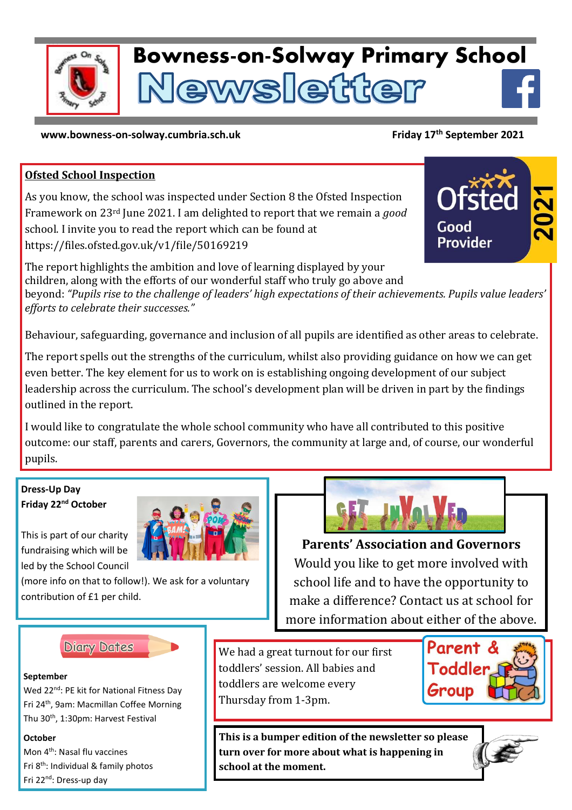

# **Bowness-on-Solway Primary School** ewsletter

#### **www.bowness-on-solway.cumbria.sch.uk**

## **Friday 17th September 2021**

Good

## **Ofsted School Inspection**

As you know, the school was inspected under Section 8 the Ofsted Inspection Framework on 23rd June 2021. I am delighted to report that we remain a *good* school. I invite you to read the report which can be found at https://files.ofsted.gov.uk/v1/file/50169219

The report highlights the ambition and love of learning displayed by your children, along with the efforts of our wonderful staff who truly go above and beyond: *"Pupils rise to the challenge of leaders' high expectations of their achievements. Pupils value leaders' efforts to celebrate their successes."*

Behaviour, safeguarding, governance and inclusion of all pupils are identified as other areas to celebrate.

The report spells out the strengths of the curriculum, whilst also providing guidance on how we can get even better. The key element for us to work on is establishing ongoing development of our subject leadership across the curriculum. The school's development plan will be driven in part by the findings outlined in the report.

I would like to congratulate the whole school community who have all contributed to this positive outcome: our staff, parents and carers, Governors, the community at large and, of course, our wonderful pupils.

#### **Dress-Up Day Friday 22nd October**

This is part of our charity fundraising which will be led by the School Council

(more info on that to follow!). We ask for a voluntary contribution of £1 per child.



**Parents' Association and Governors** Would you like to get more involved with school life and to have the opportunity to make a difference? Contact us at school for more information about either of the above.

**Diary Dates** 

#### **September**

Wed 22<sup>nd</sup>: PE kit for National Fitness Day Fri 24th, 9am: Macmillan Coffee Morning Thu 30<sup>th</sup>, 1:30pm: Harvest Festival

#### **October**

Mon 4th: Nasal flu vaccines Fri 8<sup>th</sup>: Individual & family photos Fri 22nd: Dress-up day

We had a great turnout for our first toddlers' session. All babies and toddlers are welcome every Thursday from 1-3pm.



**This is a bumper edition of the newsletter so please turn over for more about what is happening in school at the moment.**